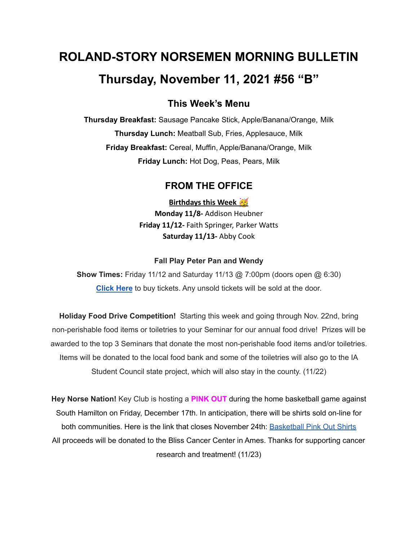# **ROLAND-STORY NORSEMEN MORNING BULLETIN Thursday, November 11, 2021 #56 "B"**

# **This Week's Menu**

**Thursday Breakfast:** Sausage Pancake Stick, Apple/Banana/Orange, Milk **Thursday Lunch:** Meatball Sub, Fries, Applesauce, Milk **Friday Breakfast:** Cereal, Muffin, Apple/Banana/Orange, Milk **Friday Lunch:** Hot Dog, Peas, Pears, Milk

## **FROM THE OFFICE**

**Birthdays this Week Monday 11/8-** Addison Heubner **Friday 11/12-** Faith Springer, Parker Watts **Saturday 11/13-** Abby Cook

#### **Fall Play Peter Pan and Wendy**

**Show Times:** Friday 11/12 and Saturday 11/13 @ 7:00pm (doors open @ 6:30) **[Click](https://events.ticketspicket.com/agency/a61f75f7-997a-4241-b0ab-0eae5600323f/events/34ddee80-503d-4381-8290-4e7cba8bb997) Here** to buy tickets. Any unsold tickets will be sold at the door.

**Holiday Food Drive Competition!** Starting this week and going through Nov. 22nd, bring non-perishable food items or toiletries to your Seminar for our annual food drive! Prizes will be awarded to the top 3 Seminars that donate the most non-perishable food items and/or toiletries. Items will be donated to the local food bank and some of the toiletries will also go to the IA Student Council state project, which will also stay in the county. (11/22)

**Hey Norse Nation!** Key Club is hosting a **PINK OUT** during the home basketball game against South Hamilton on Friday, December 17th. In anticipation, there will be shirts sold on-line for both communities. Here is the link that closes November 24th: [Basketball](https://rsshcvc21.itemorder.com/shop/sale/?saleCode=VJQ3K) Pink Out Shirts All proceeds will be donated to the Bliss Cancer Center in Ames. Thanks for supporting cancer research and treatment! (11/23)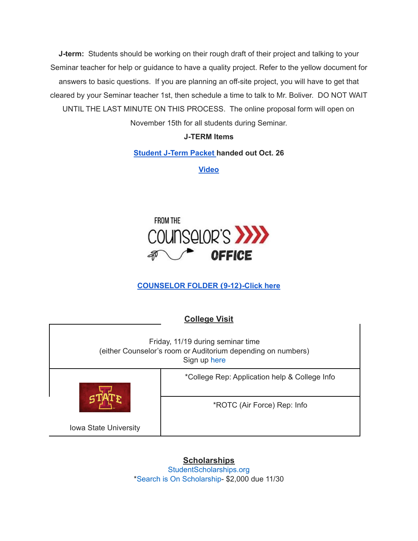**J-term:** Students should be working on their rough draft of their project and talking to your Seminar teacher for help or guidance to have a quality project. Refer to the yellow document for answers to basic questions. If you are planning an off-site project, you will have to get that cleared by your Seminar teacher 1st, then schedule a time to talk to Mr. Boliver. DO NOT WAIT UNTIL THE LAST MINUTE ON THIS PROCESS. The online proposal form will open on November 15th for all students during Seminar.

### **J-TERM Items**

#### **[Student](https://drive.google.com/file/d/1h6QugcDvlDevR3f9EywbUQrqVqyCPD5n/view?usp=sharing) J-Term Packet handed out Oct. 26**

**[Video](https://drive.google.com/file/d/1-IjAQRz891m66mXs_V_s9qC8_1HN0Jw_/view?usp=sharing)**



# **[COUNSELOR](https://docs.google.com/document/d/1vmwczNPbDzXe9vFaG5LJMQ7NYDv-i4oQJHybqA65TUc/edit?usp=sharing) FOLDER (9-12)-Click here**

| <b>College Visit</b>                                                                                              |                                               |
|-------------------------------------------------------------------------------------------------------------------|-----------------------------------------------|
| Friday, 11/19 during seminar time<br>(either Counselor's room or Auditorium depending on numbers)<br>Sign up here |                                               |
|                                                                                                                   | *College Rep: Application help & College Info |
|                                                                                                                   | *ROTC (Air Force) Rep: Info                   |
| <b>Iowa State University</b>                                                                                      |                                               |

**Scholarships** [StudentScholarships.org](https://drive.google.com/file/d/1vNlRtrk0wQiX1jPIPjpUVHhi5zFlcRvw/view?usp=sharing) \*Search is On [Scholarship](https://studentscholarships.org/scholarship/19120/search_is_on_scholarship_scholarship.php)- \$2,000 due 11/30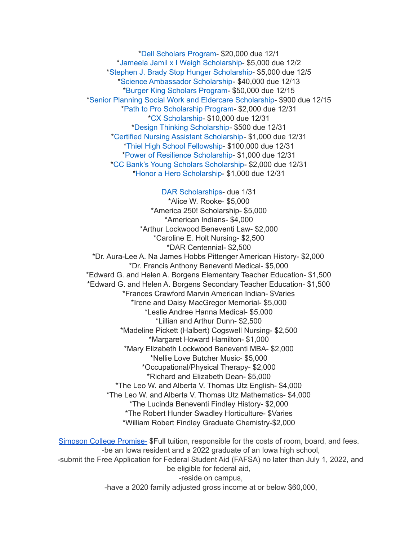\*Dell [Scholars](https://studentscholarships.org/scholarship/9745/dell_scholars_program_scholarship.php) Program- \$20,000 due 12/1 \*Jameela Jamil x I Weigh [Scholarship-](https://studentscholarships.org/scholarship/19302/jameela_jamil_x_i_weigh_scholarship_scholarship.php) \$5,000 due 12/2 \*Stephen J. Brady Stop Hunger [Scholarship-](https://studentscholarships.org/scholarship/8850/stephen_j_brady_stop_hunger_scholarships_scholarship.php) \$5,000 due 12/5 \*Science [Ambassador](https://studentscholarships.org/scholarship/14669/science_ambassador_scholarship_scholarship.php) Scholarship- \$40,000 due 12/13 \*Burger King [Scholars](https://studentscholarships.org/scholarship/10533/burger_king_scholars_program_scholarship.php) Program- \$50,000 due 12/15 \*Senior Planning Social Work and Eldercare [Scholarship](https://studentscholarships.org/scholarship/11393/senior_planning_social_scholarship.php)- \$900 due 12/15 \*Path to Pro [Scholarship](https://studentscholarships.org/scholarship/19069/path_to_pro_scholarship_program_scholarship.php) Program- \$2,000 due 12/31 \*CX [Scholarship-](https://studentscholarships.org/scholarship/19320/cx_scholarship_scholarship.php) \$10,000 due 12/31 \*Design Thinking [Scholarship](https://studentscholarships.org/scholarship/11010/design_thinking_scholarship_scholarship.php)- \$500 due 12/31 \*Certified Nursing Assistant [Scholarship-](https://studentscholarships.org/scholarship/19122/certified_nursing_assistant_scholarship_scholarship.php) \$1,000 due 12/31 \*Thiel High School [Fellowship](https://studentscholarships.org/scholarship/14065/thiel_fellowship_scholarship.php)- \$100,000 due 12/31 \*Power of Resilience [Scholarship-](https://studentscholarships.org/scholarship/14792/power_of_resilience_scholarship_scholarship.php) \$1,000 due 12/31 \*CC Bank's Young Scholars [Scholarship-](https://studentscholarships.org/scholarship/13729/cc_bank_s_young_scholars_scholarship_scholarship.php) \$2,000 due 12/31 \*Honor a Hero [Scholarship](https://studentscholarships.org/scholarship/19015/honor_a_hero_scholarship_scholarship.php)- \$1,000 due 12/31

DAR [Scholarships-](https://dar.academicworks.com/) due 1/31 \*Alice W. Rooke- \$5,000 \*America 250! Scholarship- \$5,000 \*American Indians- \$4,000 \*Arthur Lockwood Beneventi Law- \$2,000 \*Caroline E. Holt Nursing- \$2,500 \*DAR Centennial- \$2,500 \*Dr. Aura-Lee A. Na James Hobbs Pittenger American History- \$2,000 \*Dr. Francis Anthony Beneventi Medical- \$5,000 \*Edward G. and Helen A. Borgens Elementary Teacher Education- \$1,500 \*Edward G. and Helen A. Borgens Secondary Teacher Education- \$1,500 \*Frances Crawford Marvin American Indian- \$Varies \*Irene and Daisy MacGregor Memorial- \$5,000 \*Leslie Andree Hanna Medical- \$5,000 \*Lillian and Arthur Dunn- \$2,500 \*Madeline Pickett (Halbert) Cogswell Nursing- \$2,500 \*Margaret Howard Hamilton- \$1,000 \*Mary Elizabeth Lockwood Beneventi MBA- \$2,000 \*Nellie Love Butcher Music- \$5,000 \*Occupational/Physical Therapy- \$2,000 \*Richard and Elizabeth Dean- \$5,000 \*The Leo W. and Alberta V. Thomas Utz English- \$4,000 \*The Leo W. and Alberta V. Thomas Utz Mathematics- \$4,000 \*The Lucinda Beneventi Findley History- \$2,000 \*The Robert Hunder Swadley Horticulture- \$Varies \*William Robert Findley Graduate Chemistry-\$2,000

Simpson College [Promise-](https://simpson.edu/admission-aid/tuition-aid/simpson-promise) \$Full tuition, responsible for the costs of room, board, and fees. -be an Iowa resident and a 2022 graduate of an Iowa high school, -submit the Free Application for Federal Student Aid (FAFSA) no later than July 1, 2022, and be eligible for federal aid, -reside on campus, -have a 2020 family adjusted gross income at or below \$60,000,